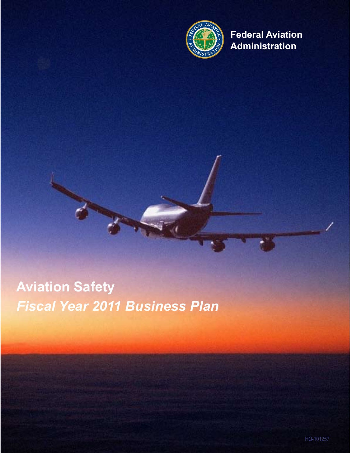

**Federal Aviation Administration**

# **Aviation Safety** *Fiscal Year 2011 Business Plan*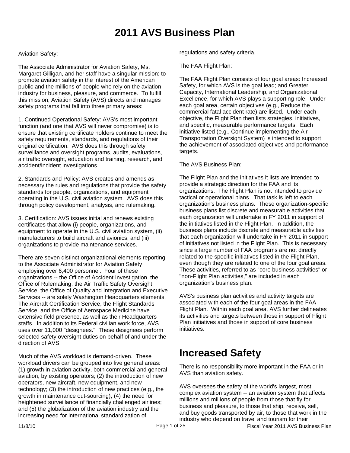## **2011 AVS Business Plan**

### Aviation Safety:

The Associate Administrator for Aviation Safety, Ms. Margaret Gilligan, and her staff have a singular mission: to promote aviation safety in the interest of the American public and the millions of people who rely on the aviation industry for business, pleasure, and commerce. To fulfill this mission, Aviation Safety (AVS) directs and manages safety programs that fall into three primary areas:

1. Continued Operational Safety: AVS's most important function (and one that AVS will never compromise) is to ensure that existing certificate holders continue to meet the safety requirements, standards, and regulations of their original certification. AVS does this through safety surveillance and oversight programs, audits, evaluations, air traffic oversight, education and training, research, and accident/incident investigations.

2. Standards and Policy: AVS creates and amends as necessary the rules and regulations that provide the safety standards for people, organizations, and equipment operating in the U.S. civil aviation system. AVS does this through policy development, analysis, and rulemaking.

3. Certification: AVS issues initial and renews existing certificates that allow (i) people, organizations, and equipment to operate in the U.S. civil aviation system, (ii) manufacturers to build aircraft and avionics, and (iii) organizations to provide maintenance services.

There are seven distinct organizational elements reporting to the Associate Administrator for Aviation Safety employing over 6,400 personnel. Four of these organizations -- the Office of Accident Investigation, the Office of Rulemaking, the Air Traffic Safety Oversight Service, the Office of Quality and Integration and Executive Services -- are solely Washington Headquarters elements. The Aircraft Certification Service, the Flight Standards Service, and the Office of Aerospace Medicine have extensive field presence, as well as their Headquarters staffs. In addition to its Federal civilian work force, AVS uses over 11,000 "designees." These designees perform selected safety oversight duties on behalf of and under the direction of AVS.

Much of the AVS workload is demand-driven. These workload drivers can be grouped into five general areas: (1) growth in aviation activity, both commercial and general aviation, by existing operators; (2) the introduction of new operators, new aircraft, new equipment, and new technology; (3) the introduction of new practices (e.g., the growth in maintenance out-sourcing); (4) the need for heightened surveillance of financially challenged airlines; and (5) the globalization of the aviation industry and the increasing need for international standardization of

regulations and safety criteria.

The FAA Flight Plan:

The FAA Flight Plan consists of four goal areas: Increased Safety, for which AVS is the goal lead; and Greater Capacity, International Leadership, and Organizational Excellence, for which AVS plays a supporting role. Under each goal area, certain objectives (e.g., Reduce the commercial fatal accident rate) are listed. Under each objective, the Flight Plan then lists strategies, initiatives, and specific, measurable performance targets. Each initiative listed (e.g., Continue implementing the Air Transportation Oversight System) is intended to support the achievement of associated objectives and performance targets.

#### The AVS Business Plan:

The Flight Plan and the initiatives it lists are intended to provide a strategic direction for the FAA and its organizations. The Flight Plan is not intended to provide tactical or operational plans. That task is left to each organization's business plans. These organization-specific business plans list discrete and measurable activities that each organization will undertake in FY 2011 in support of the initiatives listed in the Flight Plan. In addition, the business plans include discrete and measurable activities that each organization will undertake in FY 2011 in support of initiatives not listed in the Flight Plan. This is necessary since a large number of FAA programs are not directly related to the specific initiatives listed in the Flight Plan, even though they are related to one of the four goal areas. These activities, referred to as "core business activities" or "non-Flight Plan activities," are included in each organization's business plan.

AVS's business plan activities and activity targets are associated with each of the four goal areas in the FAA Flight Plan. Within each goal area, AVS further delineates its activities and targets between those in support of Flight Plan initiatives and those in support of core business initiatives.

## **Increased Safety**

There is no responsibility more important in the FAA or in AVS than aviation safety.

AVS oversees the safety of the world's largest, most complex aviation system -- an aviation system that affects millions and millions of people from those that fly for business and pleasure, to those that ship, receive, sell, and buy goods transported by air, to those that work in the industry who depend on travel and tourism for their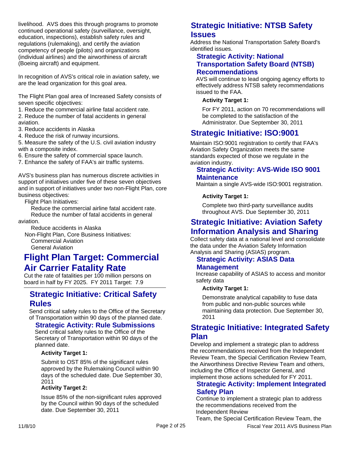livelihood. AVS does this through programs to promote continued operational safety (surveillance, oversight, education, inspections), establish safety rules and regulations (rulemaking), and certify the aviation competency of people (pilots) and organizations (individual airlines) and the airworthiness of aircraft (Boeing aircraft) and equipment.

In recognition of AVS's critical role in aviation safety, we are the lead organization for this goal area.

The Flight Plan goal area of Increased Safety consists of seven specific objectives:

- 1. Reduce the commercial airline fatal accident rate.
- 2. Reduce the number of fatal accidents in general aviation.
- 3. Reduce accidents in Alaska
- 4. Reduce the risk of runway incursions.

5. Measure the safety of the U.S. civil aviation industry with a composite index.

6. Ensure the safety of commercial space launch.

7. Enhance the safety of FAA's air traffic systems.

AVS's business plan has numerous discrete activities in support of initiatives under five of these seven objectives and in support of initiatives under two non-Flight Plan, core business objectives:

Flight Plan Initiatives:

 Reduce the commercial airline fatal accident rate. Reduce the number of fatal accidents in general

aviation.

Reduce accidents in Alaska

 Non-Flight Plan, Core Business Initiatives: Commercial Aviation

General Aviation

## **Flight Plan Target: Commercial Air Carrier Fatality Rate**

Cut the rate of fatalities per 100 million persons on board in half by FY 2025. FY 2011 Target: 7.9

## **Strategic Initiative: Critical Safety Rules**

Send critical safety rules to the Office of the Secretary of Transportation within 90 days of the planned date.

## **Strategic Activity: Rule Submissions**

Send critical safety rules to the Office of the Secretary of Transportation within 90 days of the planned date.

#### **Activity Target 1:**

Submit to OST 85% of the significant rules approved by the Rulemaking Council within 90 days of the scheduled date. Due September 30, 2011

#### **Activity Target 2:**

Issue 85% of the non-significant rules approved by the Council within 90 days of the scheduled date. Due September 30, 2011

## **Strategic Initiative: NTSB Safety Issues**

Address the National Transportation Safety Board's identified issues.

## **Strategic Activity: National Transportation Safety Board (NTSB) Recommendations**

AVS will continue to lead ongoing agency efforts to effectively address NTSB safety recommendations issued to the FAA.

### **Activity Target 1:**

For FY 2011, action on 70 recommendations will be completed to the satisfaction of the Administrator. Due September 30, 2011

## **Strategic Initiative: ISO:9001**

Maintain ISO:9001 registration to certify that FAA's Aviation Safety Organization meets the same standards expected of those we regulate in the aviation industry.

## **Strategic Activity: AVS-Wide ISO 9001 Maintenance**

Maintain a single AVS-wide ISO:9001 registration.

#### **Activity Target 1:**

Complete two third-party surveillance audits throughout AVS. Due September 30, 2011

## **Strategic Initiative: Aviation Safety Information Analysis and Sharing**

Collect safety data at a national level and consolidate the data under the Aviation Safety Information Analysis and Sharing (ASIAS) program.

## **Strategic Activity: ASIAS Data Management**

Increase capability of ASIAS to access and monitor safety data

#### **Activity Target 1:**

Demonstrate analytical capability to fuse data from public and non-public sources while maintaining data protection. Due September 30, 2011

## **Strategic Initiative: Integrated Safety Plan**

Develop and implement a strategic plan to address the recommendations received from the Independent Review Team, the Special Certification Review Team, the Airworthiness Directive Review Team and others, including the Office of Inspector General, and implement those actions scheduled for FY 2011.

## **Strategic Activity: Implement Integrated Safety Plan**

Continue to implement a strategic plan to address the recommendations received from the Independent Review

Team, the Special Certification Review Team, the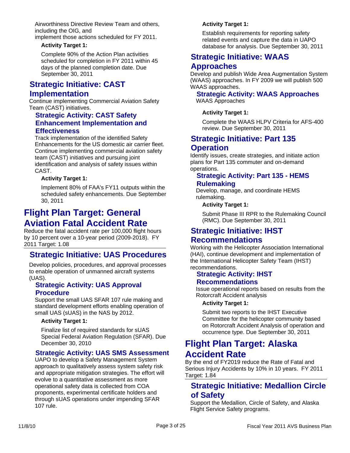Airworthiness Directive Review Team and others, including the OIG, and

implement those actions scheduled for FY 2011.

#### **Activity Target 1:**

Complete 90% of the Action Plan activities scheduled for completion in FY 2011 within 45 days of the planned completion date. Due September 30, 2011

## **Strategic Initiative: CAST Implementation**

Continue implementing Commercial Aviation Safety Team (CAST) initiatives.

## **Strategic Activity: CAST Safety Enhancement Implementation and Effectiveness**

Track implementation of the identified Safety Enhancements for the US domestic air carrier fleet. Continue implementing commercial aviation safety team (CAST) initiatives and pursuing joint identification and analysis of safety issues within CAST.

#### **Activity Target 1:**

Implement 80% of FAA's FY11 outputs within the scheduled safety enhancements. Due September 30, 2011

## **Flight Plan Target: General Aviation Fatal Accident Rate**

Reduce the fatal accident rate per 100,000 flight hours by 10 percent over a 10-year period (2009-2018). FY 2011 Target: 1.08

## **Strategic Initiative: UAS Procedures**

Develop policies, procedures, and approval processes to enable operation of unmanned aircraft systems (UAS).

## **Strategic Activity: UAS Approval Procedure**

Support the small UAS SFAR 107 rule making and standard development efforts enabling operation of small UAS (sUAS) in the NAS by 2012.

#### **Activity Target 1:**

Finalize list of required standards for sUAS Special Federal Aviation Regulation (SFAR). Due December 30, 2010

## **Strategic Activity: UAS SMS Assessment**

UAPO to develop a Safety Management System approach to qualitatively assess system safety risk and appropriate mitigation strategies. The effort will evolve to a quantitative assessment as more operational safety data is collected from COA proponents, experimental certificate holders and through sUAS operations under impending SFAR 107 rule.

### **Activity Target 1:**

Establish requirements for reporting safety related events and capture the data in UAPO database for analysis. Due September 30, 2011

## **Strategic Initiative: WAAS Approaches**

Develop and publish Wide Area Augmentation System (WAAS) approaches. In FY 2009 we will publish 500 WAAS approaches.

### **Strategic Activity: WAAS Approaches** WAAS Approaches

#### **Activity Target 1:**

Complete the WAAS HLPV Criteria for AFS-400 review. Due September 30, 2011

## **Strategic Initiative: Part 135 Operation**

Identify issues, create strategies, and initiate action plans for Part 135 commuter and on-demand operations.

## **Strategic Activity: Part 135 - HEMS Rulemaking**

Develop, manage, and coordinate HEMS rulemaking.

#### **Activity Target 1:**

Submit Phase III RPR to the Rulemaking Council (RMC). Due September 30, 2011

## **Strategic Initiative: IHST**

## **Recommendations**

Working with the Helicopter Association International (HAI), continue development and implementation of the International Helicopter Safety Team (IHST) recommendations.

## **Strategic Activity: IHST**

#### **Recommendations**

Issue operational reports based on results from the Rotorcraft Accident analysis

#### **Activity Target 1:**

Submit two reports to the IHST Executive Committee for the helicopter community based on Rotorcraft Accident Analysis of operation and occurrence type. Due September 30, 2011

## **Flight Plan Target: Alaska Accident Rate**

By the end of FY2019 reduce the Rate of Fatal and Serious Injury Accidents by 10% in 10 years. FY 2011 Target: 1.84

## **Strategic Initiative: Medallion Circle of Safety**

Support the Medallion, Circle of Safety, and Alaska Flight Service Safety programs.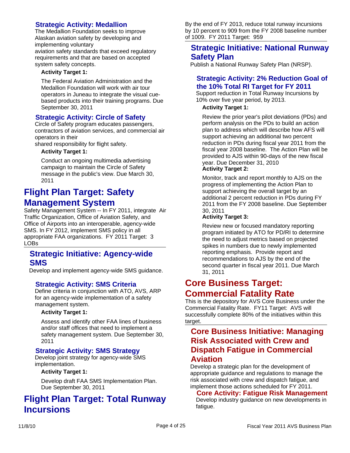## **Strategic Activity: Medallion**

The Medallion Foundation seeks to improve Alaskan aviation safety by developing and implementing voluntary aviation safety standards that exceed regulatory requirements and that are based on accepted

## system safety concepts.

### **Activity Target 1:**

The Federal Aviation Administration and the Medallion Foundation will work with air tour operators in Juneau to integrate the visual cuebased products into their training programs. Due September 30, 2011

## **Strategic Activity: Circle of Safety**

Circle of Safety program educates passengers, contractors of aviation services, and commercial air operators in their

shared responsibility for flight safety.

### **Activity Target 1:**

Conduct an ongoing multimedia advertising campaign to maintain the Circle of Safety message in the public's view. Due March 30, 2011

## **Flight Plan Target: Safety Management System**

Safety Management System -- In FY 2011, integrate Air Traffic Organization, Office of Aviation Safety, and Office of Airports into an interoperable, agency-wide SMS. In FY 2012, implement SMS policy in all appropriate FAA organizations. FY 2011 Target: 3 LOBs

## **Strategic Initiative: Agency-wide SMS**

Develop and implement agency-wide SMS guidance.

## **Strategic Activity: SMS Criteria**

Define criteria in conjunction with ATO, AVS, ARP for an agency-wide implementation of a safety management system.

#### **Activity Target 1:**

Assess and identify other FAA lines of business and/or staff offices that need to implement a safety management system. Due September 30, 2011

## **Strategic Activity: SMS Strategy**

Develop joint strategy for agency-wide SMS implementation.

#### **Activity Target 1:**

Develop draft FAA SMS Implementation Plan. Due September 30, 2011

## **Flight Plan Target: Total Runway Incursions**

By the end of FY 2013, reduce total runway incursions by 10 percent to 909 from the FY 2008 baseline number of 1009. FY 2011 Target: 959

## **Strategic Initiative: National Runway Safety Plan**

Publish a National Runway Safety Plan (NRSP).

## **Strategic Activity: 2% Reduction Goal of the 10% Total RI Target for FY 2011**

Support reduction in Total Runway Incursions by 10% over five year period, by 2013.

### **Activity Target 1:**

Review the prior year's pilot deviations (PDs) and perform analysis on the PDs to build an action plan to address which will describe how AFS will support achieving an additional two percent reduction in PDs during fiscal year 2011 from the fiscal year 2008 baseline. The Action Plan will be provided to AJS within 90-days of the new fiscal year. Due December 31, 2010 **Activity Target 2:**

Monitor, track and report monthly to AJS on the progress of implementing the Action Plan to support achieving the overall target by an additional 2 percent reduction in PDs during FY 2011 from the FY 2008 baseline. Due September 30, 2011

#### **Activity Target 3:**

Review new or focused mandatory reporting program initiated by ATO for PD/RI to determine the need to adjust metrics based on projected spikes in numbers due to newly implemented reporting emphasis. Provide report and recommendations to AJS by the end of the second quarter in fiscal year 2011. Due March 31, 2011

## **Core Business Target: Commercial Fatality Rate**

This is the depository for AVS Core Business under the Commercial Fatality Rate. FY11 Target: AVS will successfully complete 80% of the initiatives within this target.

## **Core Business Initiative: Managing Risk Associated with Crew and Dispatch Fatigue in Commercial Aviation**

Develop a strategic plan for the development of appropriate guidance and regulations to manage the risk associated with crew and dispatch fatigue, and implement those actions scheduled for FY 2011.

#### **Core Activity: Fatigue Risk Management**

Develop industry guidance on new developments in fatigue.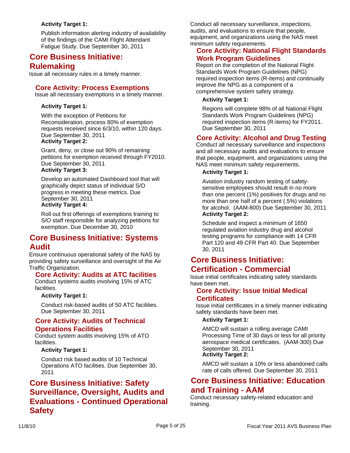### **Activity Target 1:**

Publish information alerting industry of availability of the findings of the CAMI Flight Attendant Fatigue Study. Due September 30, 2011

## **Core Business Initiative: Rulemaking**

Issue all necessary rules in a timely manner.

## **Core Activity: Process Exemptions**

Issue all necessary exemptions in a timely manner.

#### **Activity Target 1:**

With the exception of Petitions for Reconsideration, process 80% of exemption requests received since 6/3/10, within 120 days. Due September 30, 2011 **Activity Target 2:**

Grant, deny, or close out 90% of remaining petitions for exemption received through FY2010. Due September 30, 2011

## **Activity Target 3:**

Develop an automated Dashboard tool that will graphically depict status of individual S/O progress in meeting these metrics. Due September 30, 2011 **Activity Target 4:**

Roll out first offerings of exemptions training to S/O staff responsible for analyzing petitions for exemption. Due December 30, 2010

## **Core Business Initiative: Systems Audit**

Ensure continuous operational safety of the NAS by providing safety surveillance and oversight of the Air Traffic Organization.

## **Core Activity: Audits at ATC facilities**

Conduct systems audits involving 15% of ATC facilities.

#### **Activity Target 1:**

Conduct risk-based audits of 50 ATC facilities. Due September 30, 2011

#### **Core Activity: Audits of Technical Operations Facilities**

Conduct system audits involving 15% of ATO facilities.

#### **Activity Target 1:**

Conduct risk based audits of 10 Technical Operations ATO facilities. Due September 30, 2011

## **Core Business Initiative: Safety Surveillance, Oversight, Audits and Evaluations - Continued Operational Safety**

Conduct all necessary surveillance, inspections, audits, and evaluations to ensure that people, equipment, and organizations using the NAS meet minimum safety requirements.

## **Core Activity: National Flight Standards Work Program Guidelines**

Report on the completion of the National Flight Standards Work Program Guidelines (NPG) required inspection items (R-items) and continually improve the NPG as a component of a comprehensive system safety strategy.

#### **Activity Target 1:**

Regions will complete 98% of all National Flight Standards Work Program Guidelines (NPG) required inspection items (R-items) for FY2011. Due September 30, 2011

## **Core Activity: Alcohol and Drug Testing**

Conduct all necessary surveillance and inspections and all necessary audits and evaluations to ensure that people, equipment, and organizations using the NAS meet minimum safety requirements.

#### **Activity Target 1:**

Aviation industry random testing of safetysensitive employees should result in no more than one percent (1%) positives for drugs and no more than one half of a percent (.5%) violations for alcohol. (AAM-800) Due September 30, 2011 **Activity Target 2:**

Schedule and inspect a minimum of 1650 regulated aviation industry drug and alcohol testing programs for compliance with 14 CFR Part 120 and 49 CFR Part 40. Due September 30, 2011

## **Core Business Initiative: Certification - Commercial**

Issue initial certificates indicating safety standards have been met.

## **Core Activity: Issue Initial Medical Certificates**

Issue initial certificates in a timely manner indicating safety standards have been met.

#### **Activity Target 1:**

AMCD will sustain a rolling average CAMI Processing Time of 30 days or less for all priority aerospace medical certificates. (AAM-300) Due September 30, 2011

#### **Activity Target 2:**

AMCD will sustain a 10% or less abandoned calls rate of calls offered. Due September 30, 2011

## **Core Business Initiative: Education and Training - AAM**

Conduct necessary safety-related education and training.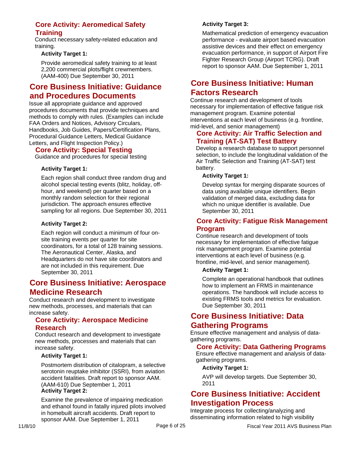## **Core Activity: Aeromedical Safety Training**

Conduct necessary safety-related education and training.

## **Activity Target 1:**

Provide aeromedical safety training to at least 2,200 commercial plots/flight crewmembers. (AAM-400) Due September 30, 2011

## **Core Business Initiative: Guidance and Procedures Documents**

Issue all appropriate guidance and approved procedures documents that provide techniques and methods to comply with rules. (Examples can include FAA Orders and Notices, Advisory Circulars, Handbooks, Job Guides, Papers/Certification Plans, Procedural Guidance Letters, Medical Guidance Letters, and Flight Inspection Policy.)

## **Core Activity: Special Testing**

Guidance and procedures for special testing

## **Activity Target 1:**

Each region shall conduct three random drug and alcohol special testing events (blitz, holiday, offhour, and weekend) per quarter based on a monthly random selection for their regional jurisdiction. The approach ensures effective sampling for all regions. Due September 30, 2011

## **Activity Target 2:**

Each region will conduct a minimum of four onsite training events per quarter for site coordinators, for a total of 128 training sessions. The Aeronautical Center, Alaska, and Headquarters do not have site coordinators and are not included in this requirement. Due September 30, 2011

## **Core Business Initiative: Aerospace Medicine Research**

Conduct research and development to investigate new methods, processes, and materials that can increase safety.

## **Core Activity: Aerospace Medicine Research**

Conduct research and development to investigate new methods, processes and materials that can increase safety.

#### **Activity Target 1:**

Postmortem distribution of citalopram, a selective serotonin reuptake inhibitor (SSRI), from aviation accident fatalities. Draft report to sponsor AAM. (AAM-610) Due September 1, 2011 **Activity Target 2:**

Examine the prevalence of impairing medication and ethanol found in fatally injured pilots involved in homebuilt aircraft accidents. Draft report to sponsor AAM. Due September 1, 2011

## **Activity Target 3:**

Mathematical prediction of emergency evacuation performance - evaluate airport based evacuation assistive devices and their effect on emergency evacuation performance, in support of Airport Fire Fighter Research Group (Airport TCRG). Draft report to sponsor AAM. Due September 1, 2011

## **Core Business Initiative: Human Factors Research**

Continue research and development of tools necessary for implementation of effective fatigue risk management program. Examine potential interventions at each level of business (e.g. frontline, mid-level, and senior management)

## **Core Activity: Air Traffic Selection and Training (AT-SAT) Test Battery**

Develop a research database to support personnel selection, to include the longitudinal validation of the Air Traffic Selection and Training (AT-SAT) test battery.

#### **Activity Target 1:**

Develop syntax for merging disparate sources of data using available unique identifiers. Begin validation of merged data, excluding data for which no unique identifier is available. Due September 30, 2011

## **Core Activity: Fatigue Risk Management Program**

Continue research and development of tools necessary for implementation of effective fatigue risk management program. Examine potential interventions at each level of business (e.g. frontline, mid-level, and senior management).

#### **Activity Target 1:**

Complete an operational handbook that outlines how to implement an FRMS in maintenance operations. The handbook will include access to existing FRMS tools and metrics for evaluation. Due September 30, 2011

## **Core Business Initiative: Data Gathering Programs**

Ensure effective management and analysis of datagathering programs.

## **Core Activity: Data Gathering Programs**

Ensure effective management and analysis of datagathering programs.

#### **Activity Target 1:**

AVP will develop targets. Due September 30, 2011

## **Core Business Initiative: Accident Investigation Process**

Integrate process for collecting/analyzing and disseminating information related to high visibility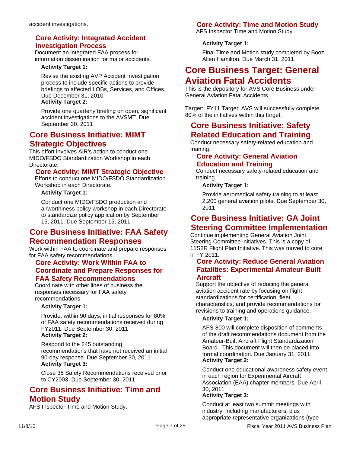## **Core Activity: Integrated Accident Investigation Process**

Document an integrated FAA process for information dissemination for major accidents.

### **Activity Target 1:**

Revise the existing AVP Accident Investigation process to include specific actions to provide briefings to affected LOBs, Services, and Offices. Due December 31, 2010 **Activity Target 2:**

Provide one quarterly briefing on open, significant accident investigations to the AVSMT. Due September 30, 2011

## **Core Business Initiative: MIMT Strategic Objectives**

This effort involves AIR's action to conduct one MIDO/FSDO Standardization Workshop in each Directorate.

## **Core Activity: MIMT Strategic Objective**

Efforts to conduct one MIDO/FSDO Standardization Workshop in each Directorate.

#### **Activity Target 1:**

Conduct one MIDO/FSDO production and airworthiness policy workshop in each Directorate to standardize policy application by September 15, 2011. Due September 15, 2011

## **Core Business Initiative: FAA Safety Recommendation Responses**

Work within FAA to coordinate and prepare responses for FAA safety recommendations.

## **Core Activity: Work Within FAA to Coordinate and Prepare Responses for FAA Safety Recommendations**

Coordinate with other lines of business the responses necessary for FAA safety recommendations.

#### **Activity Target 1:**

Provide, within 90 days, initial responses for 80% of FAA safety recommendations received during FY2011. Due September 30, 2011 **Activity Target 2:**

Respond to the 245 outstanding recommendations that have not received an initial 90-day response. Due September 30, 2011 **Activity Target 3:**

Close 35 Safety Recommendations received prior to CY2003. Due September 30, 2011

## **Core Business Initiative: Time and Motion Study**

AFS Inspector Time and Motion Study.

## **Core Activity: Time and Motion Study**

AFS Inspector Time and Motion Study.

## **Activity Target 1:**

Final Time and Motion study completed by Booz Allen Hamilton. Due March 31, 2011

## **Core Business Target: General Aviation Fatal Accidents**

This is the depository for AVS Core Business under General Aviation Fatal Accidents.

Target: FY11 Target: AVS will successfully complete 80% of the initiatives within this target.

## **Core Business Initiative: Safety Related Education and Training**

Conduct necessary safety-related education and training.

## **Core Activity: General Aviation Education and Training**

Conduct necessary safety-related education and training.

#### **Activity Target 1:**

Provide aeromedical safety training to at least 2,200 general aviation pilots. Due September 30, 2011

## **Core Business Initiative: GA Joint Steering Committee Implementation**

Continue implementing General Aviation Joint Steering Committee initiatives. This is a copy of 11S2R Flight Plan Initiative. This was moved to core in FY 2011.

## **Core Activity: Reduce General Aviation Fatalities: Experimental Amateur-Built Aircraft**

Support the objective of reducing the general aviation accident rate by focusing on flight standardizations for certification, fleet characteristics, and provide recommendations for revisions to training and operations guidance.

#### **Activity Target 1:**

AFS-800 will complete disposition of comments of the draft recommendations document from the Amateur-Built Aircraft Flight Standardization Board. This document will then be placed into formal coordination. Due January 31, 2011 **Activity Target 2:**

Conduct one educational awareness safety event in each region for Experimental Aircraft Association (EAA) chapter members. Due April 30, 2011

## **Activity Target 3:**

Conduct at least two summit meetings with industry, including manufacturers, plus appropriate representative organizations (type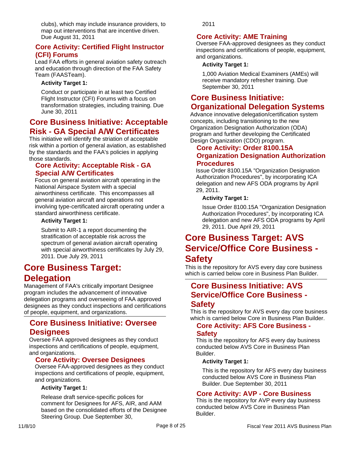clubs), which may include insurance providers, to map out interventions that are incentive driven. Due August 31, 2011

## **Core Activity: Certified Flight Instructor (CFI) Forums**

Lead FAA efforts in general aviation safety outreach and education through direction of the FAA Safety Team (FAASTeam).

### **Activity Target 1:**

Conduct or participate in at least two Certified Flight Instructor (CFI) Forums with a focus on transformation strategies, including training. Due June 30, 2011

## **Core Business Initiative: Acceptable Risk - GA Special A/W Certificates**

This initiative will identify the striation of acceptable risk within a portion of general aviation, as established by the standards and the FAA's policies in applying those standards.

## **Core Activity: Acceptable Risk - GA Special A/W Certificates**

Focus on general aviation aircraft operating in the National Airspace System with a special airworthiness certificate. This encompasses all general aviation aircraft and operations not involving type-certificated aircraft operating under a standard airworthiness certificate.

#### **Activity Target 1:**

Submit to AIR-1 a report documenting the stratification of acceptable risk across the spectrum of general aviation aircraft operating with special airworthiness certificates by July 29, 2011. Due July 29, 2011

## **Core Business Target: Delegation**

Management of FAA's critically important Designee program includes the advancement of innovative delegation programs and overseeing of FAA approved designees as they conduct inspections and certifications of people, equipment, and organizations.

## **Core Business Initiative: Oversee Designees**

Oversee FAA approved designees as they conduct inspections and certifications of people, equipment, and organizations.

## **Core Activity: Oversee Designees**

Oversee FAA-approved designees as they conduct inspections and certifications of people, equipment, and organizations.

#### **Activity Target 1:**

Release draft service-specific polices for comment for Designees for AFS, AIR, and AAM based on the consolidated efforts of the Designee Steering Group. Due September 30,

2011

## **Core Activity: AME Training**

Oversee FAA-approved designees as they conduct inspections and certifications of people, equipment, and organizations.

#### **Activity Target 1:**

1,000 Aviation Medical Examiners (AMEs) will receive mandatory refresher training. Due September 30, 2011

## **Core Business Initiative: Organizational Delegation Systems**

Advance innovative delegation/certification system concepts, including transitioning to the new Organization Designation Authorization (ODA) program and further developing the Certificated Design Organization (CDO) program.

## **Core Activity: Order 8100.15A Organization Designation Authorization Procedures**

Issue Order 8100.15A "Organization Designation Authorization Procedures", by incorporating ICA delegation and new AFS ODA programs by April 29, 2011.

#### **Activity Target 1:**

Issue Order 8100.15A "Organization Designation Authorization Procedures", by incorporating ICA delegation and new AFS ODA programs by April 29, 2011. Due April 29, 2011

## **Core Business Target: AVS Service/Office Core Business -**

## **Safety**

This is the repository for AVS every day core business which is carried below core in Business Plan Builder.

## **Core Business Initiative: AVS Service/Office Core Business - Safety**

This is the repository for AVS every day core business which is carried below Core in Business Plan Builder.

## **Core Activity: AFS Core Business - Safety**

This is the repository for AFS every day business conducted below AVS Core in Business Plan Builder.

#### **Activity Target 1:**

This is the repository for AFS every day business conducted below AVS Core in Business Plan Builder. Due September 30, 2011

## **Core Activity: AVP - Core Business**

This is the repository for AVP every day business conducted below AVS Core in Business Plan Builder.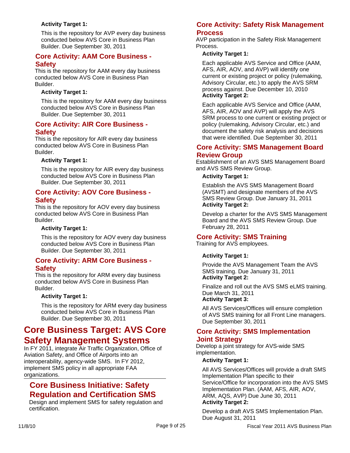### **Activity Target 1:**

This is the repository for AVP every day business conducted below AVS Core in Business Plan Builder. Due September 30, 2011

## **Core Activity: AAM Core Business - Safety**

This is the repository for AAM every day business conducted below AVS Core in Business Plan Builder.

### **Activity Target 1:**

This is the repository for AAM every day business conducted below AVS Core in Business Plan Builder. Due September 30, 2011

### **Core Activity: AIR Core Business - Safety**

This is the repository for AIR every day business conducted below AVS Core in Business Plan Builder.

#### **Activity Target 1:**

This is the repository for AIR every day business conducted below AVS Core in Business Plan Builder. Due September 30, 2011

#### **Core Activity: AOV Core Business - Safety**

This is the repository for AOV every day business conducted below AVS Core in Business Plan Builder.

### **Activity Target 1:**

This is the repository for AOV every day business conducted below AVS Core in Business Plan Builder. Due September 30, 2011

## **Core Activity: ARM Core Business - Safety**

This is the repository for ARM every day business conducted below AVS Core in Business Plan Builder.

#### **Activity Target 1:**

This is the repository for ARM every day business conducted below AVS Core in Business Plan Builder. Due September 30, 2011

## **Core Business Target: AVS Core Safety Management Systems**

In FY 2011, integrate Air Traffic Organization, Office of Aviation Safety, and Office of Airports into an interoperability, agency-wide SMS. In FY 2012, implement SMS policy in all appropriate FAA organizations.

## **Core Business Initiative: Safety Regulation and Certification SMS**

Design and implement SMS for safety regulation and certification.

## **Core Activity: Safety Risk Management Process**

AVP participation in the Safety Risk Management Process.

### **Activity Target 1:**

Each applicable AVS Service and Office (AAM, AFS, AIR, AOV, and AVP) will identify one current or existing project or policy (rulemaking, Advisory Circular, etc.) to apply the AVS SRM process against. Due December 10, 2010 **Activity Target 2:**

Each applicable AVS Service and Office (AAM, AFS, AIR, AOV and AVP) will apply the AVS SRM process to one current or existing project or policy (rulemaking, Advisory Circular, etc.) and document the safety risk analysis and decisions that were identified. Due September 30, 2011

## **Core Activity: SMS Management Board Review Group**

Establishment of an AVS SMS Management Board and AVS SMS Review Group.

### **Activity Target 1:**

Establish the AVS SMS Management Board (AVSMT) and designate members of the AVS SMS Review Group. Due January 31, 2011 **Activity Target 2:**

Develop a charter for the AVS SMS Management Board and the AVS SMS Review Group. Due February 28, 2011

## **Core Activity: SMS Training**

Training for AVS employees.

#### **Activity Target 1:**

Provide the AVS Management Team the AVS SMS training. Due January 31, 2011 **Activity Target 2:**

Finalize and roll out the AVS SMS eLMS training. Due March 31, 2011 **Activity Target 3:**

All AVS Services/Offices will ensure completion of AVS SMS training for all Front Line managers. Due September 30, 2011

#### **Core Activity: SMS Implementation Joint Strategy**

Develop a joint strategy for AVS-wide SMS implementation.

#### **Activity Target 1:**

All AVS Services/Offices will provide a draft SMS Implementation Plan specific to their Service/Office for incorporation into the AVS SMS Implementation Plan. (AAM, AFS, AIR, AOV, ARM, AQS, AVP) Due June 30, 2011 **Activity Target 2:**

#### Develop a draft AVS SMS Implementation Plan. Due August 31, 2011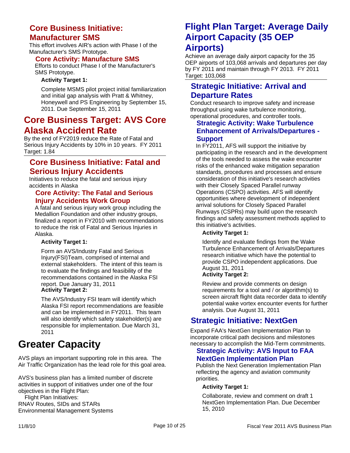## **Core Business Initiative: Manufacturer SMS**

This effort involves AIR's action with Phase I of the Manufacturer's SMS Prototype.

## **Core Activity: Manufacture SMS**

Efforts to conduct Phase I of the Manufacturer's SMS Prototype.

#### **Activity Target 1:**

Complete MSMS pilot project initial familiarization and initial gap analysis with Pratt & Whitney, Honeywell and PS Engineering by September 15, 2011. Due September 15, 2011

## **Core Business Target: AVS Core Alaska Accident Rate**

By the end of FY2019 reduce the Rate of Fatal and Serious Injury Accidents by 10% in 10 years. FY 2011 Target: 1.84

## **Core Business Initiative: Fatal and Serious Injury Accidents**

Initiatives to reduce the fatal and serious injury accidents in Alaska

## **Core Activity: The Fatal and Serious Injury Accidents Work Group**

A fatal and serious injury work group including the Medallion Foundation and other industry groups, finalized a report in FY2010 with recommendations to reduce the risk of Fatal and Serious Injuries in Alaska.

#### **Activity Target 1:**

Form an AVS/Industry Fatal and Serious Injury(FSI)Team, comprised of internal and external stakeholders. The intent of this team is to evaluate the findings and feasibility of the recommendations contained in the Alaska FSI report. Due January 31, 2011 **Activity Target 2:**

The AVS/Industry FSI team will identify which Alaska FSI report recommendations are feasible and can be implemented in FY2011. This team will also identify which safety stakeholder(s) are responsible for implementation. Due March 31, 2011

## **Greater Capacity**

AVS plays an important supporting role in this area. The Air Traffic Organization has the lead role for this goal area.

AVS's business plan has a limited number of discrete activities in support of initiatives under one of the four objectives in the Flight Plan:

Flight Plan Initiatives:

RNAV Routes, SIDs and STARs Environmental Management Systems

## **Flight Plan Target: Average Daily Airport Capacity (35 OEP Airports)**

Achieve an average daily airport capacity for the 35 OEP airports of 103,068 arrivals and departures per day by FY 2011 and maintain through FY 2013. FY 2011 Target: 103,068

## **Strategic Initiative: Arrival and Departure Rates**

Conduct research to improve safety and increase throughput using wake turbulence monitoring, operational procedures, and controller tools.

## **Strategic Activity: Wake Turbulence Enhancement of Arrivals/Departures - Support**

In FY2011, AFS will support the initiative by participating in the research and in the development of the tools needed to assess the wake encounter risks of the enhanced wake mitigation separation standards, procedures and processes and ensure consideration of this initiative's research activities with their Closely Spaced Parallel runway Operations (CSPO) activities. AFS will identify opportunities where development of independent arrival solutions for Closely Spaced Parallel Runways (CSPRs) may build upon the research findings and safety assessment methods applied to this initiative's activities.

## **Activity Target 1:**

Identify and evaluate findings from the Wake Turbulence Enhancement of Arrivals/Departures research initiative which have the potential to provide CSPO independent applications. Due August 31, 2011

#### **Activity Target 2:**

Review and provide comments on design requirements for a tool and / or algorithm(s) to screen aircraft flight data recorder data to identify potential wake vortex encounter events for further analysis. Due August 31, 2011

## **Strategic Initiative: NextGen**

Expand FAA's NextGen Implementation Plan to incorporate critical path decisions and milestones necessary to accomplish the Mid-Term commitments.

## **Strategic Activity: AVS Input to FAA NextGen Implementation Plan**

Publish the Next Generation Implementation Plan reflecting the agency and aviation community priorities.

#### **Activity Target 1:**

Collaborate, review and comment on draft 1 NextGen Implementation Plan. Due December 15, 2010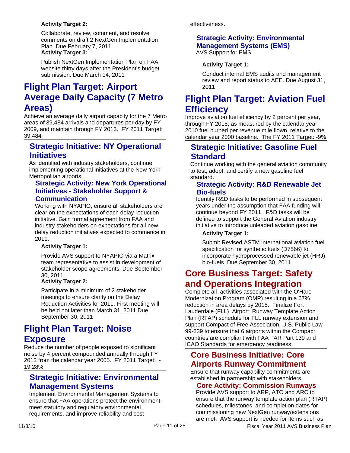## **Activity Target 2:**

Collaborate, review, comment, and resolve comments on draft 2 NextGen Implementation Plan. Due February 7, 2011 **Activity Target 3:**

Publish NextGen Implementation Plan on FAA website thirty days after the President's budget submission. Due March 14, 2011

## **Flight Plan Target: Airport Average Daily Capacity (7 Metro Areas)**

Achieve an average daily airport capacity for the 7 Metro areas of 39,484 arrivals and departures per day by FY 2009, and maintain through FY 2013. FY 2011 Target: 39,484

## **Strategic Initiative: NY Operational Initiatives**

As identified with industry stakeholders, continue implementing operational initiatives at the New York Metropolitan airports.

## **Strategic Activity: New York Operational Initiatives - Stakeholder Support & Communication**

Working with NYAPIO, ensure all stakeholders are clear on the expectations of each delay reduction initiative. Gain formal agreement from FAA and industry stakeholders on expectations for all new delay reduction initiatives expected to commence in 2011.

#### **Activity Target 1:**

Provide AVS support to NYAPIO via a Matrix team representative to assist in development of stakeholder scope agreements. Due September 30, 2011

#### **Activity Target 2:**

Participate in a minimum of 2 stakeholder meetings to ensure clarity on the Delay Reduction Activities for 2011. First meeting will be held not later than March 31, 2011 Due September 30, 2011

## **Flight Plan Target: Noise Exposure**

Reduce the number of people exposed to significant noise by 4 percent compounded annually through FY 2013 from the calendar year 2005. FY 2011 Target: - 19.28%

## **Strategic Initiative: Environmental Management Systems**

Implement Environmental Management Systems to ensure that FAA operations protect the environment, meet statutory and regulatory environmental requirements, and improve reliability and cost

effectiveness.

## **Strategic Activity: Environmental Management Systems (EMS)**

AVS Support for EMS

## **Activity Target 1:**

Conduct internal EMS audits and management review and report status to AEE. Due August 31, 2011

## **Flight Plan Target: Aviation Fuel Efficiency**

Improve aviation fuel efficiency by 2 percent per year, through FY 2015, as measured by the calendar year 2010 fuel burned per revenue mile flown, relative to the calendar year 2000 baseline. The FY 2011 Target: -9%

## **Strategic Initiative: Gasoline Fuel Standard**

Continue working with the general aviation community to test, adopt, and certify a new gasoline fuel standard.

## **Strategic Activity: R&D Renewable Jet Bio-fuels**

Identify R&D tasks to be performed in subsequent years under the assumption that FAA funding will continue beyond FY 2011. F&D tasks will be defined to support the General Aviation industry initiative to introduce unleaded aviation gasoline.

## **Activity Target 1:**

Submit Revised ASTM international aviation fuel specification for synthetic fuels (D7566) to incorporate hydroprocessed renewable jet (HRJ) bio-fuels. Due September 30, 2011

## **Core Business Target: Safety and Operations Integration**

Complete all activities associated with the O'Hare Modernization Program (OMP) resulting in a 67% reduction in area delays by 2015. Finalize Fort Lauderdale (FLL) Airport Runway Template Action Plan (RTAP) schedule for FLL runway extension and support Compact of Free Association, U.S. Public Law 99-239 to ensure that 6 airports within the Compact countries are compliant with FAA FAR Part 139 and ICAO Standards for emergency readiness.

## **Core Business Initiative: Core Airports Runway Commitment**

Ensure that runway capability commitments are established in partnership with stakeholders.

## **Core Activity: Commission Runways**

Provide AVS support to ARP, ATO and ARC to ensure that the runway template action plan (RTAP) schedules, milestones, and completion dates for commissioning new NextGen runway/extensions are met. AVS support is needed for items such as

11/8/10 **Page 11 of 25** Fiscal Year 2011 AVS Business Plan **Propose 2011** AVS Business Plan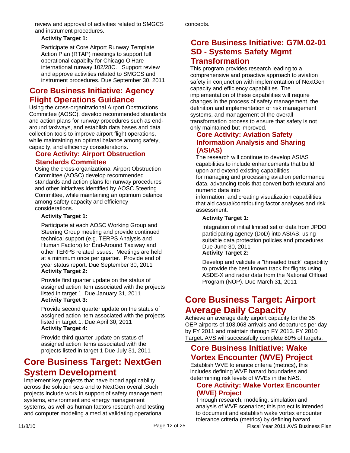review and approval of activities related to SMGCS and instrument procedures.

### **Activity Target 1:**

Participate at Core Airport Runway Template Action Plan (RTAP) meetings to support full operational capabilty for Chicago O'Hare international runway 102/28C. Support review and approve activities related to SMGCS and instrument procedures. Due September 30, 2011

## **Core Business Initiative: Agency Flight Operations Guidance**

Using the cross-organizational Airport Obstructions Committee (AOSC), develop recommended standards and action plans for runway procedures such as endaround taxiways, and establish data bases and data collection tools to improve airport flight operations, while maintaining an optimal balance among safety, capacity, and efficiency considerations.

## **Core Activity: Airport Obstruction Standards Committee**

Using the cross-organizational Airport Obstruction Committee (AOSC) develop recommended standards and action plans for runway procedures and other initiatives identified by AOSC Steering Committee, while maintaining an optimum balance among safety capacity and efficiency considerations.

## **Activity Target 1:**

Participate at each AOSC Working Group and Steering Group meeting and provide continued technical support (e.g. TERPS Analysis and Human Factors) for End-Around Taxiway and other TERPS related issues. Meetings are held at a minimum once per quarter. Provide end of year status report. Due September 30, 2011 **Activity Target 2:**

Provide first quarter update on the status of assigned action item associated with the projects listed in target 1. Due January 31, 2011 **Activity Target 3:**

Provide second quarter update on the status of assigned action item associated with the projects listed in target 1. Due April 30, 2011 **Activity Target 4:**

Provide third quarter update on status of assigned action items associated with the projects listed in target 1 Due July 31, 2011

## **Core Business Target: NextGen System Development**

Implement key projects that have broad applicability across the solution sets and to NextGen overall.Such projects include work in support of safety management systems, environment and energy management systems, as well as human factors research and testing and computer modeling aimed at validating operational

concepts.

## **Core Business Initiative: G7M.02-01 SD - Systems Safety Mgmt Transformation**

This program provides research leading to a comprehensive and proactive approach to aviation safety in conjunction with implementation of NextGen capacity and efficiency capabilities. The implementation of these capabilities will require changes in the process of safety management, the definition and implementation of risk management systems, and management of the overall transformation process to ensure that safety is not only maintained but improved.

## **Core Activity: Aviation Safety Information Analysis and Sharing (ASIAS)**

The research will continue to develop ASIAS capabilities to include enhancements that build upon and extend existing capabilities for managing and processing aviation performance data, advancing tools that convert both textural and numeric data into

information, and creating visualization capabilities that aid casual/contributing factor analyses and risk assessment.

## **Activity Target 1:**

Integration of initial limited set of data from JPDO participating agency (DoD) into ASIAS, using suitable data protection policies and procedures. Due June 30, 2011 **Activity Target 2:**

Develop and validate a "threaded track" capability to provide the best known track for flights using ASDE-X and radar data from the National Offload Program (NOP). Due March 31, 2011

## **Core Business Target: Airport Average Daily Capacity**

Achieve an average daily airport capacity for the 35 OEP airports of 103,068 arrivals and departures per day by FY 2011 and maintain through FY 2013. FY 2010 Target: AVS will successfully complete 80% of targets.

## **Core Business Initiative: Wake Vortex Encounter (WVE) Project**

Establish WVE tolerance criteria (metrics), this includes defining WVE hazard boundaries and determining risk levels of WVEs in the NAS.

## **Core Activity: Wake Vortex Encounter (WVE) Project**

Through research, modeling, simulation and analysis of WVE scenarios; this project is intended to document and establish wake vortex encounter tolerance criteria (metrics) by defining hazard

11/8/10 **Page 12 of 25 Fiscal Year 2011 AVS Business Plan**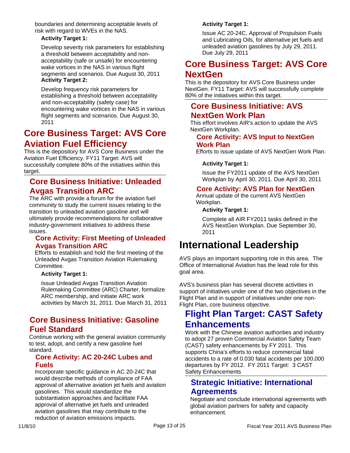boundaries and determining acceptable levels of risk with regard to WVEs in the NAS.

### **Activity Target 1:**

Develop severity risk parameters for establishing a threshold between acceptability and nonacceptability (safe or unsafe) for encountering wake vortices in the NAS in various flight segments and scenarios. Due August 30, 2011 **Activity Target 2:**

Develop frequency risk parameters for establishing a threshold between acceptability and non-acceptability (safety case) for encountering wake vortices in the NAS in various flight segments and scenarios. Due August 30, 2011

## **Core Business Target: AVS Core Aviation Fuel Efficiency**

This is the depository for AVS Core Business under the Aviation Fuel Efficiency. FY11 Target: AVS will successfully complete 80% of the initiatives within this target.

## **Core Business Initiative: Unleaded Avgas Transition ARC**

The ARC with provide a forum for the aviation fuel community to study the current issues relating to the transition to unleaded aviation gasoline and will ultimately provide recommendations for collaborative industry-government initiatives to address these issues.

## **Core Activity: First Meeting of Unleaded Avgas Transition ARC**

Efforts to establish and hold the first meeting of the Unleaded Avgas Transition Aviation Rulemaking Committee.

#### **Activity Target 1:**

Issue Unleaded Avgas Transition Aviation Rulemaking Committee (ARC) Charter, formalize ARC membership, and initiate ARC work activities by March 31, 2011. Due March 31, 2011

## **Core Business Initiative: Gasoline Fuel Standard**

Continue working with the general aviation community to test, adopt, and certify a new gasoline fuel standard.

## **Core Activity: AC 20-24C Lubes and Fuels**

Incorporate specific guidance in AC 20-24C that would describe methods of compliance of FAA approval of alternative aviation jet fuels and aviation gasolines. This would standardize the substantiation approaches and facilitate FAA approval of alternative jet fuels and unleaded aviation gasolines that may contribute to the reduction of aviation emissions impacts.

## **Activity Target 1:**

Issue AC 20-24C, Approval of Propulsion Fuels and Lubricating Oils, for alternative jet fuels and unleaded aviation gasolines by July 29, 2011. Due July 29, 2011

## **Core Business Target: AVS Core NextGen**

This is the depository for AVS Core Business under NextGen. FY11 Target: AVS will successfully complete 80% of the initiatives within this target.

## **Core Business Initiative: AVS NextGen Work Plan**

This effort involves AIR's action to update the AVS NextGen Workplan.

## **Core Activity: AVS Input to NextGen Work Plan**

Efforts to issue update of AVS NextGen Work Plan.

## **Activity Target 1:**

Issue the FY2011 update of the AVS NextGen Workplan by April 30, 2011. Due April 30, 2011

## **Core Activity: AVS Plan for NextGen**

Annual update of the current AVS NextGen Workplan.

#### **Activity Target 1:**

Complete all AIR FY2011 tasks defined in the AVS NextGen Workplan. Due September 30, 2011

## **International Leadership**

AVS plays an important supporting role in this area. The Office of International Aviation has the lead role for this goal area.

AVS's business plan has several discrete activities in support of initiatives under one of the two objectives in the Flight Plan and in support of initiatives under one non-Flight Plan, core business objective.

## **Flight Plan Target: CAST Safety Enhancements**

Work with the Chinese aviation authorities and industry to adopt 27 proven Commercial Aviation Safety Team (CAST) safety enhancements by FY 2011. This supports China's efforts to reduce commercial fatal accidents to a rate of 0.030 fatal accidents per 100,000 departures by FY 2012. FY 2011 Target: 3 CAST Safety Enhancements

## **Strategic Initiative: International Agreements**

Negotiate and conclude international agreements with global aviation partners for safety and capacity enhancement.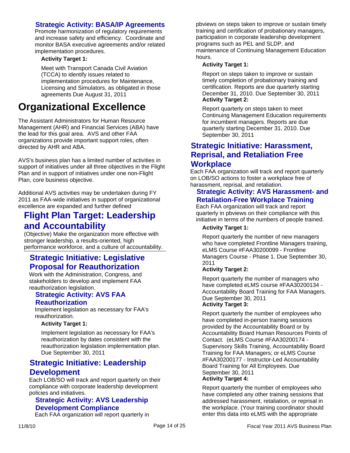## **Strategic Activity: BASA/IP Agreements**

Promote harmonization of regulatory requirements and increase safety and efficiency. Coordinate and monitor BASA executive agreements and/or related implementation procedures.

### **Activity Target 1:**

Meet with Transport Canada Civil Aviation (TCCA) to identify issues related to implementation procedures for Maintenance, Licensing and Simulators, as obligated in those agreements Due August 31, 2011

## **Organizational Excellence**

The Assistant Administrators for Human Resource Management (AHR) and Financial Services (ABA) have the lead for this goal area. AVS and other FAA organizations provide important support roles, often directed by AHR and ABA.

AVS's business plan has a limited number of activities in support of initiatives under all three objectives in the Flight Plan and in support of initiatives under one non-Flight Plan, core business objective.

Additional AVS activities may be undertaken during FY 2011 as FAA-wide initiatives in support of organizational excellence are expanded and further defined

## **Flight Plan Target: Leadership and Accountability**

(Objective) Make the organization more effective with stronger leadership, a results-oriented, high performance workforce, and a culture of accountability.

## **Strategic Initiative: Legislative Proposal for Reauthorization**

Work with the Administration, Congress, and stakeholders to develop and implement FAA reauthorization legislation.

## **Strategic Activity: AVS FAA Reauthorization**

Implement legislation as necessary for FAA's reauthorization.

#### **Activity Target 1:**

Implement legislation as necessary for FAA's reauthorization by dates consistent with the reauthorization legislation implementation plan. Due September 30, 2011

## **Strategic Initiative: Leadership Development**

Each LOB/SO will track and report quarterly on their compliance with corporate leadership development policies and initiatives.

## **Strategic Activity: AVS Leadership Development Compliance**

Each FAA organization will report quarterly in

pbviews on steps taken to improve or sustain timely training and certification of probationary managers, participation in corporate leadership development programs such as PEL and SLDP, and maintenance of Continuing Management Education hours.

#### **Activity Target 1:**

Report on steps taken to improve or sustain timely completion of probationary training and certification. Reports are due quarterly starting December 31, 2010. Due September 30, 2011 **Activity Target 2:**

Report quarterly on steps taken to meet Continuing Management Education requirements for incumbent managers. Reports are due quarterly starting December 31, 2010. Due September 30, 2011

## **Strategic Initiative: Harassment, Reprisal, and Retaliation Free Workplace**

Each FAA organization will track and report quarterly on LOB/SO actions to foster a workplace free of harassment, reprisal, and retaliation.

## **Strategic Activity: AVS Harassment- and Retaliation-Free Workplace Training**

Each FAA organization will track and report quarterly in pbviews on their compliance with this initiative in terms of the numbers of people trained.

### **Activity Target 1:**

Report quarterly the number of new managers who have completed Frontline Managers training, eLMS Course #FAA30200099 - Frontline Managers Course - Phase 1. Due September 30, 2011

#### **Activity Target 2:**

Report quarterly the number of managers who have completed eLMS course #FAA30200134 - Accountability Board Training for FAA Managers. Due September 30, 2011

#### **Activity Target 3:**

Report quarterly the number of employees who have completed in-person training sessions provided by the Accountability Board or by Accountability Board Human Resources Points of Contact. (eLMS Course #FAA30200174 - Supervisory Skills Training, Accountability Board Training for FAA Managers; or eLMS Course #FAA30200177 - Instructor-Led Accountability Board Training for All Employees. Due September 30, 2011 **Activity Target 4:**

Report quarterly the number of employees who have completed any other training sessions that addressed harassment, retaliation, or reprisal in the workplace. (Your training coordinator should enter this data into eLMS with the appropriate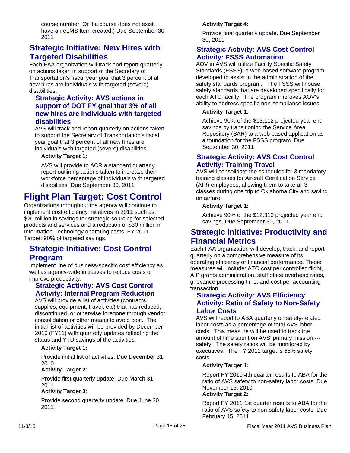course number. Or if a course does not exist, have an eLMS Item created.) Due September 30, 2011

## **Strategic Initiative: New Hires with Targeted Disabilities**

Each FAA organization will track and report quarterly on actions taken in support of the Secretary of Transportation's fiscal year goal that 3 percent of all new hires are individuals with targeted (severe) disabilities.

## **Strategic Activity: AVS actions in support of DOT FY goal that 3% of all new hires are individuals with targeted disabilities**

AVS will track and report quarterly on actions taken to support the Secretary of Transportation's fiscal year goal that 3 percent of all new hires are individuals with targeted (severe) disabilities.

#### **Activity Target 1:**

AVS will provide to ACR a standard quarterly report outlining actions taken to increase their workforce percentage of individuals with targeted disabilities. Due September 30, 2011

## **Flight Plan Target: Cost Control**

Organizations throughout the agency will continue to implement cost efficiency initiatives in 2011 such as: \$20 million in savings for strategic sourcing for selected products and services and a reduction of \$30 million in Information Technology operating costs. FY 2011 Target: 90% of targeted savings.

## **Strategic Initiative: Cost Control Program**

Implement line of business-specific cost efficiency as well as agency-wide initiatives to reduce costs or improve productivity.

## **Strategic Activity: AVS Cost Control Activity: Internal Program Reduction**

AVS will provide a list of activities (contracts, supplies, equipment, travel, etc) that has reduced, discontinued, or otherwise foregone through vendor consolidation or other means to avoid cost. The initial list of activities will be provided by December 2010 (FY11) with quarterly updates reflecting the status and YTD savings of the activities.

## **Activity Target 1:**

Provide initial list of activities. Due December 31, 2010

#### **Activity Target 2:**

Provide first quarterly update. Due March 31, 2011

#### **Activity Target 3:**

Provide second quarterly update. Due June 30, 2011

## **Activity Target 4:**

Provide final quarterly update. Due September 30, 2011

## **Strategic Activity: AVS Cost Control Activity: FSSS Automation**

AOV in AVS will utilize Facility Specific Safety Standards (FSSS), a web-based software program developed to assist in the administration of the safety standards program. The FSSS will house safety standards that are developed specifically for each ATO facility. The program improves AOV's ability to address specific non-compliance issues.

### **Activity Target 1:**

Achieve 90% of the \$13,112 projected year end savings by transitioning the Service Area Repository (SAR) to a web based application as a foundation for the FSSS program. Due September 30, 2011

## **Strategic Activity: AVS Cost Control Activity: Training Travel**

AVS will consolidate the schedules for 3 mandatory training classes for Aircraft Certification Service (AIR) employees, allowing them to take all 3 classes during one trip to Oklahoma City and saving on airfare.

#### **Activity Target 1:**

Achieve 90% of the \$12,310 projected year end savings. Due September 30, 2011

## **Strategic Initiative: Productivity and Financial Metrics**

Each FAA organization will develop, track, and report quarterly on a comprehensive measure of its operating efficiency or financial performance. These measures will include: ATO cost per controlled flight, AIP grants administration, staff office overhead rates, grievance processing time, and cost per accounting transaction.

## **Strategic Activity: AVS Efficiency Activity: Ratio of Safety to Non-Safety Labor Costs**

AVS will report to ABA quarterly on safety-related labor costs as a percentage of total AVS labor costs. This measure will be used to track the amount of time spent on AVS' primary mission -- safety. The safety ratios will be monitored by executives. The FY 2011 target is 65% safety costs.

#### **Activity Target 1:**

Report FY 2010 4th quarter results to ABA for the ratio of AVS safety to non-safety labor costs. Due November 15, 2010 **Activity Target 2:**

Report FY 2011 1st quarter results to ABA for the ratio of AVS safety to non-safety labor costs. Due February 15, 2011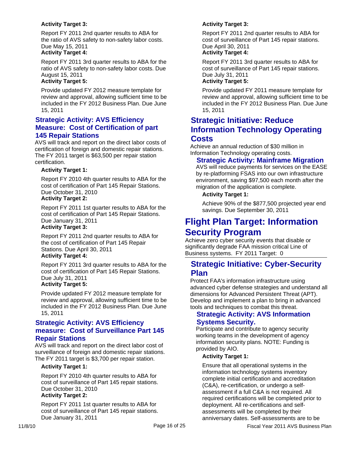### **Activity Target 3:**

Report FY 2011 2nd quarter results to ABA for the ratio of AVS safety to non-safety labor costs. Due May 15, 2011

## **Activity Target 4:**

Report FY 2011 3rd quarter results to ABA for the ratio of AVS safety to non-safety labor costs. Due August 15, 2011

#### **Activity Target 5:**

Provide updated FY 2012 measure template for review and approval, allowing sufficient time to be included in the FY 2012 Business Plan. Due June 15, 2011

## **Strategic Activity: AVS Efficiency Measure: Cost of Certification of part 145 Repair Stations**

AVS will track and report on the direct labor costs of certification of foreign and domestic repair stations. The FY 2011 target is \$63,500 per repair station certification.

#### **Activity Target 1:**

Report FY 2010 4th quarter results to ABA for the cost of certification of Part 145 Repair Stations. Due October 31, 2010 **Activity Target 2:**

Report FY 2011 1st quarter results to ABA for the cost of certification of Part 145 Repair Stations. Due January 31, 2011 **Activity Target 3:**

Report FY 2011 2nd quarter results to ABA for the cost of certification of Part 145 Repair Stations. Due April 30, 2011 **Activity Target 4:**

Report FY 2011 3rd quarter results to ABA for the cost of certification of Part 145 Repair Stations. Due July 31, 2011

## **Activity Target 5:**

Provide updated FY 2012 measure template for review and approval, allowing sufficient time to be included in the FY 2012 Business Plan. Due June 15, 2011

## **Strategic Activity: AVS Efficiency measure: Cost of Surveillance Part 145 Repair Stations**

AVS will track and report on the direct labor cost of surveillance of foreign and domestic repair stations. The FY 2011 target is \$3,700 per repair station.

#### **Activity Target 1:**

Report FY 2010 4th quarter results to ABA for cost of surveillance of Part 145 repair stations. Due October 31, 2010 **Activity Target 2:**

#### Report FY 2011 1st quarter results to ABA for cost of surveillance of Part 145 repair stations. Due January 31, 2011

### **Activity Target 3:**

Report FY 2011 2nd quarter results to ABA for cost of surveillance of Part 145 repair stations. Due April 30, 2011

## **Activity Target 4:**

Report FY 2011 3rd quarter results to ABA for cost of surveillance of Part 145 repair stations. Due July 31, 2011

#### **Activity Target 5:**

Provide updated FY 2011 measure template for review and approval, allowing sufficient time to be included in the FY 2012 Business Plan. Due June 15, 2011

## **Strategic Initiative: Reduce Information Technology Operating Costs**

Achieve an annual reduction of \$30 million in Information Technology operating costs.

## **Strategic Activity: Mainframe Migration**

AVS will reduce payments for services on the EASE by re-platforming FSAS into our own infrastructure environment, saving \$97,500 each month after the migration of the application is complete.

#### **Activity Target 1:**

Achieve 90% of the \$877,500 projected year end savings. Due September 30, 2011

## **Flight Plan Target: Information Security Program**

Achieve zero cyber security events that disable or significantly degrade FAA mission critical Line of Business systems. FY 2011 Target: 0

## **Strategic Initiative: Cyber-Security Plan**

Protect FAA's information infrastructure using advanced cyber defense strategies and understand all dimensions for Advanced Persistent Threat (APT). Develop and implement a plan to bring in advanced tools and techniques to combat this threat.

## **Strategic Activity: AVS Information Systems Security.**

Participate and contribute to agency security working teams in the development of agency information security plans. NOTE: Funding is provided by AIO.

#### **Activity Target 1:**

Ensure that all operational systems in the information technology systems inventory complete initial certification and accreditation (C&A), re-certification, or undergo a selfassessment if a full C&A is not required. All required certifications will be completed prior to deployment. All re-certifications and selfassessments will be completed by their anniversary dates. Self-assessments are to be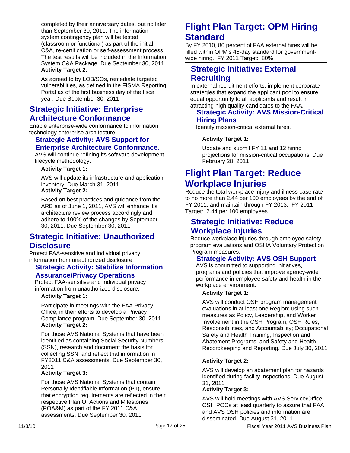completed by their anniversary dates, but no later than September 30, 2011. The information system contingency plan will be tested (classroom or functional) as part of the initial C&A, re-certification or self-assessment process. The test results will be included in the Information System C&A Package. Due September 30, 2011 **Activity Target 2:**

As agreed to by LOB/SOs, remediate targeted vulnerabilities, as defined in the FISMA Reporting Portal as of the first business day of the fiscal year. Due September 30, 2011

## **Strategic Initiative: Enterprise Architecture Conformance**

Enable enterprise-wide conformance to information technology enterprise architecture.

## **Strategic Activity: AVS Support for Enterprise Architecture Conformance.**

AVS will continue refining its software development lifecycle methodology.

#### **Activity Target 1:**

AVS will update its infrastructure and application inventory. Due March 31, 2011 **Activity Target 2:**

Based on best practices and guidance from the ARB as of June 1, 2011, AVS will enhance it's architecture review process accordingly and adhere to 100% of the changes by September 30, 2011. Due September 30, 2011

## **Strategic Initiative: Unauthorized Disclosure**

Protect FAA-sensitive and individual privacy information from unauthorized disclosure.

## **Strategic Activity: Stabilize Information Assurance/Privacy Operations**

Protect FAA-sensitive and individual privacy information from unauthorized disclosure.

#### **Activity Target 1:**

Participate in meetings with the FAA Privacy Office, in their efforts to develop a Privacy Compliance program. Due September 30, 2011 **Activity Target 2:**

For those AVS National Systems that have been identified as containing Social Security Numbers (SSN), research and document the basis for collecting SSN, and reflect that information in FY2011 C&A assessments. Due September 30, 2011

#### **Activity Target 3:**

For those AVS National Systems that contain Personally Identifiable Information (PII), ensure that encryption requirements are reflected in their respective Plan Of Actions and Milestones (POA&M) as part of the FY 2011 C&A assessments. Due September 30, 2011

## **Flight Plan Target: OPM Hiring Standard**

By FY 2010, 80 percent of FAA external hires will be filled within OPM's 45-day standard for governmentwide hiring. FY 2011 Target: 80%

## **Strategic Initiative: External Recruiting**

In external recruitment efforts, implement corporate strategies that expand the applicant pool to ensure equal opportunity to all applicants and result in attracting high quality candidates to the FAA.

## **Strategic Activity: AVS Mission-Critical Hiring Plans**

Identify mission-critical external hires.

## **Activity Target 1:**

Update and submit FY 11 and 12 hiring projections for mission-critical occupations. Due February 28, 2011

## **Flight Plan Target: Reduce Workplace Injuries**

Reduce the total workplace injury and illness case rate to no more than 2.44 per 100 employees by the end of FY 2011, and maintain through FY 2013. FY 2011 Target: 2.44 per 100 employees

## **Strategic Initiative: Reduce Workplace Injuries**

Reduce workplace injuries through employee safety program evaluations and OSHA Voluntary Protection Program measures.

## **Strategic Activity: AVS OSH Support**

AVS is committed to supporting initiatives, programs and policies that improve agency-wide performance in employee safety and health in the workplace environment.

#### **Activity Target 1:**

AVS will conduct OSH program management evaluations in at least one Region; using such measures as Policy, Leadership, and Worker Involvement in the OSH Program; OSH Roles, Responsibilities, and Accountability; Occupational Safety and Health Training; Inspection and Abatement Programs; and Safety and Health Recordkeeping and Reporting. Due July 30, 2011

## **Activity Target 2:**

AVS will develop an abatement plan for hazards identified during facility inspections. Due August 31, 2011

### **Activity Target 3:**

AVS will hold meetings with AVS Service/Office OSH POCs at least quarterly to assure that FAA and AVS OSH policies and information are disseminated. Due August 31, 2011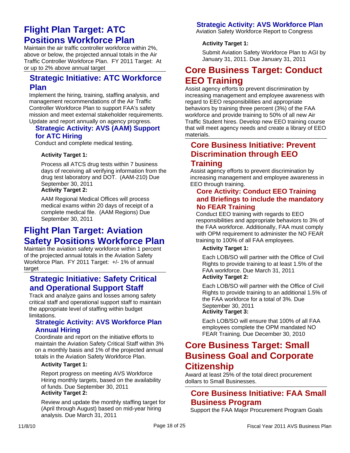## **Flight Plan Target: ATC Positions Workforce Plan**

Maintain the air traffic controller workforce within 2%, above or below, the projected annual totals in the Air Traffic Controller Workforce Plan. FY 2011 Target: At or up to 2% above annual target

## **Strategic Initiative: ATC Workforce Plan**

Implement the hiring, training, staffing analysis, and management recommendations of the Air Traffic Controller Workforce Plan to support FAA's safety mission and meet external stakeholder requirements. Update and report annually on agency progress.

## **Strategic Activity: AVS (AAM) Support for ATC Hiring**

Conduct and complete medical testing.

## **Activity Target 1:**

Process all ATCS drug tests within 7 business days of receiving all verifying information from the drug test laboratory and DOT. (AAM-210) Due September 30, 2011 **Activity Target 2:**

AAM Regional Medical Offices will process medical exams within 20 days of receipt of a complete medical file. (AAM Regions) Due September 30, 2011

## **Flight Plan Target: Aviation Safety Positions Workforce Plan**

Maintain the aviation safety workforce within 1 percent of the projected annual totals in the Aviation Safety Workforce Plan. FY 2011 Target: +/- 1% of annual target

## **Strategic Initiative: Safety Critical and Operational Support Staff**

Track and analyze gains and losses among safety critical staff and operational support staff to maintain the appropriate level of staffing within budget limitations.

## **Strategic Activity: AVS Workforce Plan Annual Hiring**

Coordinate and report on the initiative efforts to maintain the Aviation Safety Critical Staff within 3% on a monthly basis and 1% of the projected annual totals in the Aviation Safety Workforce Plan.

#### **Activity Target 1:**

Report progress on meeting AVS Workforce Hiring monthly targets, based on the availability of funds. Due September 30, 2011 **Activity Target 2:**

Review and update the monthly staffing target for (April through August) based on mid-year hiring analysis. Due March 31, 2011

## **Strategic Activity: AVS Workforce Plan**

Aviation Safety Workforce Report to Congress

### **Activity Target 1:**

Submit Aviation Safety Workforce Plan to AGI by January 31, 2011. Due January 31, 2011

## **Core Business Target: Conduct EEO Training**

Assist agency efforts to prevent discrimination by increasing management and employee awareness with regard to EEO responsibilities and appropriate behaviors by training three percent (3%) of the FAA workforce and provide training to 50% of all new Air Traffic Student hires. Develop new EEO training course that will meet agency needs and create a library of EEO materials.

## **Core Business Initiative: Prevent Discrimination through EEO Training**

Assist agency efforts to prevent discrimination by increasing management and employee awareness in EEO through training.

## **Core Activity: Conduct EEO Training and Briefings to include the mandatory No FEAR Training**

Conduct EEO training with regards to EEO responsibilities and appropriate behaviors to 3% of the FAA workforce. Additionally, FAA must comply with OPM requirement to administer the NO FEAR training to 100% of all FAA employees.

## **Activity Target 1:**

Each LOB/SO will partner with the Office of Civil Rights to provide training to at least 1.5% of the FAA workforce. Due March 31, 2011 **Activity Target 2:**

Each LOB/SO will partner with the Office of Civil Rights to provide training to an additional 1.5% of the FAA workforce for a total of 3%. Due September 30, 2011 **Activity Target 3:**

## Each LOB/SO will ensure that 100% of all FAA

employees complete the OPM mandated NO FEAR Training. Due December 30, 2010

## **Core Business Target: Small Business Goal and Corporate Citizenship**

Award at least 25% of the total direct procurement dollars to Small Businesses.

## **Core Business Initiative: FAA Small Business Program**

Support the FAA Major Procurement Program Goals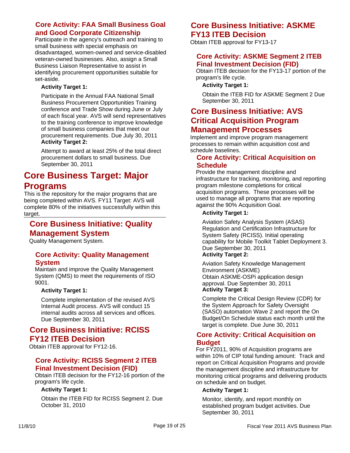## **Core Activity: FAA Small Business Goal and Good Corporate Citizenship**

Participate in the agency's outreach and training to small business with special emphasis on disadvantaged, women-owned and service-disabled veteran-owned businesses. Also, assign a Small Business Liaison Representative to assist in identifying procurement opportunities suitable for set-aside.

## **Activity Target 1:**

Participate in the Annual FAA National Small Business Procurement Opportunities Training conference and Trade Show during June or July of each fiscal year. AVS will send representatives to the training conference to improve knowledge of small business companies that meet our procurement requirements. Due July 30, 2011 **Activity Target 2:**

Attempt to award at least 25% of the total direct procurement dollars to small business. Due September 30, 2011

## **Core Business Target: Major Programs**

This is the repository for the major programs that are being completed within AVS. FY11 Target: AVS will complete 80% of the initiatives successfully within this target.

## **Core Business Initiative: Quality Management System**

Quality Management System.

## **Core Activity: Quality Management System**

Maintain and improve the Quality Management System (QMS) to meet the requirements of ISO 9001.

#### **Activity Target 1:**

Complete implementation of the revised AVS Internal Audit process. AVS will conduct 15 internal audits across all services and offices. Due September 30, 2011

## **Core Business Initiative: RCISS FY12 ITEB Decision**

Obtain ITEB approval for FY12-16.

## **Core Activity: RCISS Segment 2 ITEB Final Investment Decision (FID)**

Obtain ITEB decision for the FY12-16 portion of the program's life cycle.

#### **Activity Target 1:**

Obtain the ITEB FID for RCISS Segment 2. Due October 31, 2010

## **Core Business Initiative: ASKME FY13 ITEB Decision**

Obtain ITEB approval for FY13-17

## **Core Activity: ASKME Segment 2 ITEB Final Investment Decision (FID)**

Obtain ITEB decision for the FY13-17 portion of the program's life cycle.

### **Activity Target 1:**

Obtain the ITEB FID for ASKME Segment 2 Due September 30, 2011

## **Core Business Initiative: AVS Critical Acquisition Program Management Processes**

Implement and improve program management processes to remain within acquisition cost and schedule baselines.

## **Core Activity: Critical Acquisition on Schedule**

Provide the management discipline and infrastructure for tracking, monitoring, and reporting program milestone completions for critical acquisition programs. These processes will be used to manage all programs that are reporting against the 90% Acquisition Goal.

## **Activity Target 1:**

Aviation Safety Analysis System (ASAS) Regulation and Certification Infrastructure for System Safety (RCISS). Initial operating capability for Mobile Toolkit Tablet Deployment 3. Due September 30, 2011

## **Activity Target 2:**

Aviation Safety Knowledge Management Environment (ASKME) Obtain ASKME-OSPi application design approval. Due September 30, 2011 **Activity Target 3:**

Complete the Critical Design Review (CDR) for the System Approach for Safety Oversight (SASO) automation Wave 2 and report the On Budget/On Schedule status each month until the target is complete. Due June 30, 2011

## **Core Activity: Critical Acquisition on Budget**

For FY2011, 90% of Acquisition programs are within 10% of CIP total funding amount: Track and report on Critical Acquisition Programs and provide the management discipline and infrastructure for monitoring critical programs and delivering products on schedule and on budget.

## **Activity Target 1:**

Monitor, identify, and report monthly on established program budget activities. Due September 30, 2011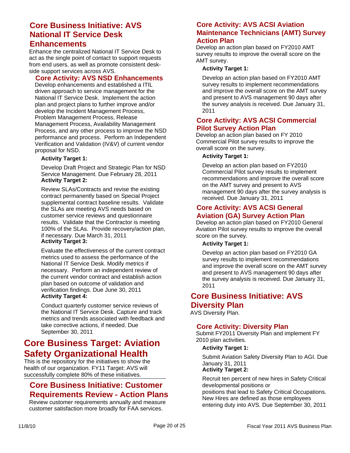## **Core Business Initiative: AVS National IT Service Desk**

## **Enhancements**

Enhance the centralized National IT Service Desk to act as the single point of contact to support requests from end users, as well as promote consistent deskside support services across AVS.

## **Core Activity: AVS NSD Enhancements**

Develop enhancements and established a ITIL driven approach to service management for the National IT Service Desk. Implement the action plan and project plans to further improve and/or develop the Incident Management Process, Problem Management Process, Release Management Process, Availability Management Process, and any other process to improve the NSD performance and process. Perform an Independent Verification and Validation (IV&V) of current vendor proposal for NSD.

#### **Activity Target 1:**

Develop Draft Project and Strategic Plan for NSD Service Management. Due February 28, 2011 **Activity Target 2:**

Review SLAs/Contracts and revise the existing contract permanently based on Special Project supplemental contract baseline results. Validate the SLAs are meeting AVS needs based on customer service reviews and questionnaire results. Validate that the Contractor is meeting 100% of the SLAs. Provide recovery/action plan, if necessary. Due March 31, 2011 **Activity Target 3:**

Evaluate the effectiveness of the current contract metrics used to assess the performance of the National IT Service Desk. Modify metrics if necessary. Perform an independent review of the current vendor contract and establish action plan based on outcome of validation and verification findings. Due June 30, 2011 **Activity Target 4:**

Conduct quarterly customer service reviews of the National IT Service Desk. Capture and track metrics and trends associated with feedback and take corrective actions, if needed. Due September 30, 2011

## **Core Business Target: Aviation Safety Organizational Health**

This is the repository for the initiatives to show the health of our organization. FY11 Target: AVS will successfully complete 80% of these initiatives.

## **Core Business Initiative: Customer Requirements Review - Action Plans**

Review customer requirements annually and measure customer satisfaction more broadly for FAA services.

## **Core Activity: AVS ACSI Aviation Maintenance Technicians (AMT) Survey Action Plan**

Develop an action plan based on FY2010 AMT survey results to improve the overall score on the AMT survey.

#### **Activity Target 1:**

Develop an action plan based on FY2010 AMT survey results to implement recommendations and improve the overall score on the AMT survey and present to AVS management 90 days after the survey analysis is received. Due January 31, 2011

## **Core Activity: AVS ACSI Commercial Pilot Survey Action Plan**

Develop an action plan based on FY 2010 Commercial Pilot survey results to improve the overall score on the survey.

#### **Activity Target 1:**

Develop an action plan based on FY2010 Commercial Pilot survey results to implement recommendations and improve the overall score on the AMT survey and present to AVS management 90 days after the survey analysis is received. Due January 31, 2011

## **Core Activity: AVS ACSI General Aviation (GA) Survey Action Plan**

Develop an action plan based on FY2010 General Aviation Pilot survey results to improve the overall score on the survey.

#### **Activity Target 1:**

Develop an action plan based on FY2010 GA survey results to implement recommendations and improve the overall score on the AMT survey and present to AVS management 90 days after the survey analysis is received. Due January 31, 2011

## **Core Business Initiative: AVS Diversity Plan**

AVS Diversity Plan.

## **Core Activity: Diversity Plan**

Submit FY2011 Diversity Plan and implement FY 2010 plan activities.

#### **Activity Target 1:**

Submit Aviation Safety Diversity Plan to AGI. Due January 31, 2011 **Activity Target 2:**

## Recruit ten percent of new hires in Safety Critical developmental positions or positions that lead to Safety Critical Occupations. New Hires are defined as those employees

entering duty into AVS. Due September 30, 2011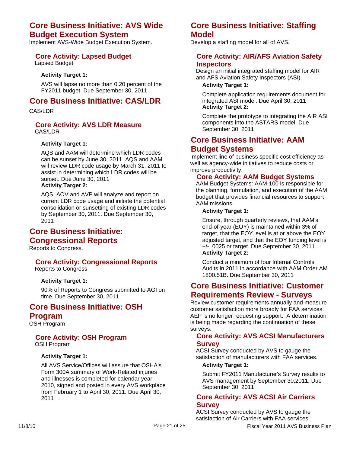## **Core Business Initiative: AVS Wide Budget Execution System**

Implement AVS-Wide Budget Execution System.

## **Core Activity: Lapsed Budget**

Lapsed Budget

#### **Activity Target 1:**

AVS will lapse no more than 0.20 percent of the FY2011 budget. Due September 30, 2011

## **Core Business Initiative: CAS/LDR**

CAS/LDR

#### **Core Activity: AVS LDR Measure** CAS/LDR

#### **Activity Target 1:**

AQS and AAM will determine which LDR codes can be sunset by June 30, 2011. AQS and AAM will review LDR code usage by March 31, 2011 to assist in determining which LDR codes will be sunset. Due June 30, 2011 **Activity Target 2:**

AQS, AOV and AVP will analyze and report on current LDR code usage and initiate the potential consolidation or sunsetting of existing LDR codes by September 30, 2011. Due September 30, 2011

## **Core Business Initiative: Congressional Reports**

Reports to Congress.

#### **Core Activity: Congressional Reports** Reports to Congress

#### **Activity Target 1:**

90% of Reports to Congress submitted to AGI on time. Due September 30, 2011

## **Core Business Initiative: OSH Program**

OSH Program

#### **Core Activity: OSH Program** OSH Program

#### **Activity Target 1:**

All AVS Service/Offices will assure that OSHA's Form 300A summary of Work-Related injuries and illnesses is completed for calendar year 2010, signed and posted in every AVS workplace from February 1 to April 30, 2011. Due April 30, 2011

## **Core Business Initiative: Staffing Model**

Develop a staffing model for all of AVS.

#### **Core Activity: AIR/AFS Aviation Safety Inspectors**

Design an initial integrated staffing model for AIR and AFS Aviation Safety Inspectors (ASI).

#### **Activity Target 1:**

Complete application requirements document for integrated ASI model. Due April 30, 2011 **Activity Target 2:**

Complete the prototype to integrating the AIR ASI components into the ASTARS model. Due September 30, 2011

## **Core Business Initiative: AAM Budget Systems**

Implement line of business specific cost efficiency as well as agency-wide initiatives to reduce costs or improve productivity.

#### **Core Activity: AAM Budget Systems**

AAM Budget Systems: AAM-100 is responsible for the planning, formulation, and execution of the AAM budget that provides financial resources to support AAM missions.

#### **Activity Target 1:**

Ensure, through quarterly reviews, that AAM's end-of-year (EOY) is maintained within 3% of target, that the EOY level is at or above the EOY adjusted target, and that the EOY funding level is +/- .0025 or target. Due September 30, 2011 **Activity Target 2:**

Conduct a minimum of four Internal Controls Audits in 2011 in accordance with AAM Order AM 1800.51B. Due September 30, 2011

## **Core Business Initiative: Customer Requirements Review - Surveys**

Review customer requirements annually and measure customer satisfaction more broadly for FAA services. AEP is no longer requesting support. A determination is being made regarding the continuation of these surveys.

## **Core Activity: AVS ACSI Manufacturers Survey**

ACSI Survey conducted by AVS to gauge the satisfaction of manufacturers with FAA services.

### **Activity Target 1:**

Submit FY2011 Manufacturer's Survey results to AVS management by September 30,2011. Due September 30, 2011

### **Core Activity: AVS ACSI Air Carriers Survey**

ACSI Survey conducted by AVS to gauge the satisfaction of Air Carriers with FAA services.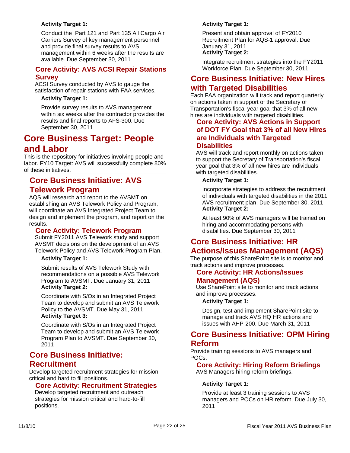## **Activity Target 1:**

Conduct the Part 121 and Part 135 All Cargo Air Carriers Survey of key management personnel and provide final survey results to AVS management within 6 weeks after the results are available. Due September 30, 2011

## **Core Activity: AVS ACSI Repair Stations Survey**

ACSI Survey conducted by AVS to gauge the satisfaction of repair stations with FAA services.

#### **Activity Target 1:**

Provide survey results to AVS management within six weeks after the contractor provides the results and final reports to AFS-300. Due September 30, 2011

## **Core Business Target: People and Labor**

This is the repository for initiatives involving people and labor. FY10 Target: AVS will successfully complete 80% of these initiatives.

## **Core Business Initiative: AVS Telework Program**

AQS will research and report to the AVSMT on establishing an AVS Telework Policy and Program, will coordinate an AVS Integrated Project Team to design and implement the program, and report on the results.

## **Core Activity: Telework Program**

Submit FY2011 AVS Telework study and support AVSMT decisions on the development of an AVS Telework Policy and AVS Telework Program Plan.

**Activity Target 1:**

Submit results of AVS Telework Study with recommendations on a possible AVS Telework Program to AVSMT. Due January 31, 2011 **Activity Target 2:**

Coordinate with S/Os in an Integrated Project Team to develop and submit an AVS Telework Policy to the AVSMT. Due May 31, 2011 **Activity Target 3:**

Coordinate with S/Os in an Integrated Project Team to develop and submit an AVS Telework Program Plan to AVSMT. Due September 30, 2011

## **Core Business Initiative: Recruitment**

Develop targeted recruitment strategies for mission critical and hard to fill positions.

## **Core Activity: Recruitment Strategies**

Develop targeted recruitment and outreach strategies for mission critical and hard-to-fill positions.

### **Activity Target 1:**

Present and obtain approval of FY2010 Recruitment Plan for AQS-1 approval. Due January 31, 2011 **Activity Target 2:**

Integrate recruitment strategies into the FY2011 Workforce Plan. Due September 30, 2011

## **Core Business Initiative: New Hires with Targeted Disabilities**

Each FAA organization will track and report quarterly on actions taken in support of the Secretary of Transportation's fiscal year goal that 3% of all new hires are individuals with targeted disabilities.

## **Core Activity: AVS Actions in Support of DOT FY Goal that 3% of all New Hires are Individuals with Targeted Disabilities**

AVS will track and report monthly on actions taken to support the Secretary of Transportation's fiscal year goal that 3% of all new hires are individuals with targeted disabilities.

#### **Activity Target 1:**

Incorporate strategies to address the recruitment of individuals with targeted disabilities in the 2011 AVS recruitment plan. Due September 30, 2011 **Activity Target 2:**

At least 90% of AVS managers will be trained on hiring and accommodating persons with disabilities. Due September 30, 2011

## **Core Business Initiative: HR Actions/Issues Management (AQS)**

The purpose of this SharePoint site is to monitor and track actions and improve processes.

## **Core Activity: HR Actions/Issues Management (AQS)**

Use SharePoint site to monitor and track actions and improve processes.

#### **Activity Target 1:**

Design, test and implement SharePoint site to manage and track AVS HQ HR actions and issues with AHP-200. Due March 31, 2011

## **Core Business Initiative: OPM Hiring Reform**

Provide training sessions to AVS managers and POCs.

## **Core Activity: Hiring Reform Briefings**

AVS Managers hiring reform briefings.

## **Activity Target 1:**

Provide at least 3 training sessions to AVS managers and POCs on HR reform. Due July 30, 2011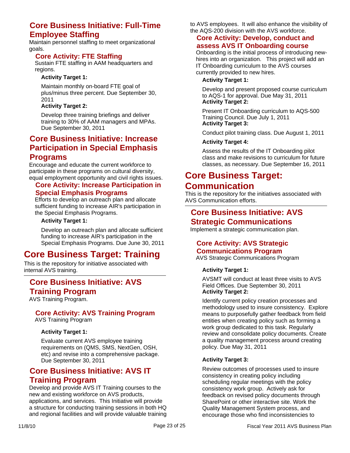## **Core Business Initiative: Full-Time Employee Staffing**

Maintain personnel staffing to meet organizational goals.

## **Core Activity: FTE Staffing**

Sustain FTE staffing in AAM headquarters and regions.

### **Activity Target 1:**

Maintain monthly on-board FTE goal of plus/minus three percent. Due September 30, 2011

### **Activity Target 2:**

Develop three training briefings and deliver training to 30% of AAM managers and MPAs. Due September 30, 2011

## **Core Business Initiative: Increase Participation in Special Emphasis Programs**

Encourage and educate the current workforce to participate in these programs on cultural diversity, equal employment opportunity and civil rights issues.

#### **Core Activity: Increase Participation in Special Emphasis Programs**

Efforts to develop an outreach plan and allocate sufficient funding to increase AIR's participation in the Special Emphasis Programs.

#### **Activity Target 1:**

Develop an outreach plan and allocate sufficient funding to increase AIR's participation in the Special Emphasis Programs. Due June 30, 2011

## **Core Business Target: Training**

This is the repository for initiative associated with internal AVS training.

# **Core Business Initiative: AVS**

**Training Program**

AVS Training Program.

#### **Core Activity: AVS Training Program** AVS Training Program

## **Activity Target 1:**

Evaluate current AVS employee training requirements on (QMS, SMS, NextGen, OSH, etc) and revise into a comprehensive package. Due September 30, 2011

## **Core Business Initiative: AVS IT Training Program**

Develop and provide AVS IT Training courses to the new and existing workforce on AVS products, applications, and services. This Initiative will provide a structure for conducting training sessions in both HQ and regional facilities and will provide valuable training

to AVS employees. It will also enhance the visibility of the AQS-200 division with the AVS workforce.

#### **Core Activity: Develop, conduct and assess AVS IT Onboarding course**

Onboarding is the initial process of introducing newhires into an organization. This project will add an IT Onboarding curriculum to the AVS courses currently provided to new hires.

#### **Activity Target 1:**

Develop and present proposed course curriculum to AQS-1 for approval. Due May 31, 2011 **Activity Target 2:**

Present IT Onboarding curriculum to AQS-500 Training Council. Due July 1, 2011 **Activity Target 3:**

Conduct pilot training class. Due August 1, 2011

#### **Activity Target 4:**

Assess the results of the IT Onboarding pilot class and make revisions to curriculum for future classes, as necessary. Due September 16, 2011

## **Core Business Target: Communication**

This is the repository for the initiatives associated with AVS Communication efforts.

## **Core Business Initiative: AVS Strategic Communications**

Implement a strategic communication plan.

## **Core Activity: AVS Strategic Communications Program**

AVS Strategic Communications Program

## **Activity Target 1:**

AVSMT will conduct at least three visits to AVS Field Offices. Due September 30, 2011 **Activity Target 2:**

Identify current policy creation processes and methodology used to insure consistency. Explore means to purposefully gather feedback from field entities when creating policy such as forming a work group dedicated to this task. Regularly review and consolidate policy documents. Create a quality management process around creating policy. Due May 31, 2011

#### **Activity Target 3:**

Review outcomes of processes used to insure consistency in creating policy including scheduling regular meetings with the policy consistency work group. Actively ask for feedback on revised policy documents through SharePoint or other interactive site. Work the Quality Management System process, and encourage those who find inconsistencies to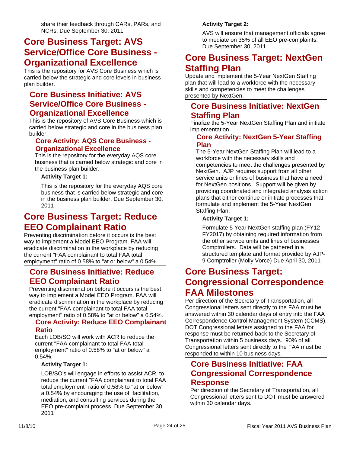share their feedback through CARs, PARs, and NCRs. Due September 30, 2011

## **Core Business Target: AVS Service/Office Core Business - Organizational Excellence**

This is the repository for AVS Core Business which is carried below the strategic and core levels in business plan builder.

## **Core Business Initiative: AVS Service/Office Core Business - Organizational Excellence**

This is the repository of AVS Core Business which is carried below strategic and core in the business plan builder.

## **Core Activity: AQS Core Business - Organizational Excellence**

This is the repository for the everyday AQS core business that is carried below strategic and core in the business plan builder.

#### **Activity Target 1:**

This is the repository for the everyday AQS core business that is carried below strategic and core in the business plan builder. Due September 30, 2011

## **Core Business Target: Reduce EEO Complainant Ratio**

Preventing discrimination before it occurs is the best way to implement a Model EEO Program. FAA will eradicate discrimination in the workplace by reducing the current "FAA complainant to total FAA total employment" ratio of 0.58% to "at or below" a 0.54%.

## **Core Business Initiative: Reduce EEO Complainant Ratio**

Preventing discrimination before it occurs is the best way to implement a Model EEO Program. FAA will eradicate discrimination in the workplace by reducing the current "FAA complainant to total FAA total employment" ratio of 0.58% to "at or below" a 0.54%.

## **Core Activity: Reduce EEO Complainant Ratio**

Each LOB/SO will work with ACR to reduce the current "FAA complainant to total FAA total employment" ratio of 0.58% to "at or below" a 0.54%.

#### **Activity Target 1:**

LOB/SO's will engage in efforts to assist ACR, to reduce the current "FAA complainant to total FAA total employment" ratio of 0.58% to "at or below" a 0.54% by encouraging the use of facilitation, mediation, and consulting services during the EEO pre-complaint process. Due September 30, 2011

## **Activity Target 2:**

AVS will ensure that management officials agree to mediate on 35% of all EEO pre-complaints. Due September 30, 2011

## **Core Business Target: NextGen Staffing Plan**

Update and implement the 5-Year NextGen Staffing plan that will lead to a workforce with the necessary skills and competencies to meet the challenges presented by NextGen.

## **Core Business Initiative: NextGen Staffing Plan**

Finalize the 5-Year NextGen Staffing Plan and initiate implementation.

## **Core Activity: NextGen 5-Year Staffing Plan**

The 5-Year NextGen Staffing Plan will lead to a workforce with the necessary skills and competencies to meet the challenges presented by NextGen. AJP requires support from all other service units or lines of business that have a need for NextGen positions. Support will be given by providing coordinated and integrated analysis action plans that either continue or initiate processes that formulate and implement the 5-Year NextGen Staffing Plan.

## **Activity Target 1:**

Formulate 5 Year NextGen staffing plan (FY12- FY2017) by obtaining required information from the other service units and lines of businesses Comptrollers. Data will be gathered in a structured template and format provided by AJP-9 Comptroller (Molly Vorce) Due April 30, 2011

## **Core Business Target: Congressional Correspondence FAA Milestones**

Per direction of the Secretary of Transportation, all Congressional letters sent directly to the FAA must be answered within 30 calendar days of entry into the FAA Correspondence Control Management System (CCMS). DOT Congressional letters assigned to the FAA for response must be returned back to the Secretary of Transportation within 5 business days. 90% of all Congressional letters sent directly to the FAA must be responded to within 10 business days.

## **Core Business Initiative: FAA Congressional Correspondence Response**

Per direction of the Secretary of Transportation, all Congressional letters sent to DOT must be answered within 30 calendar days.